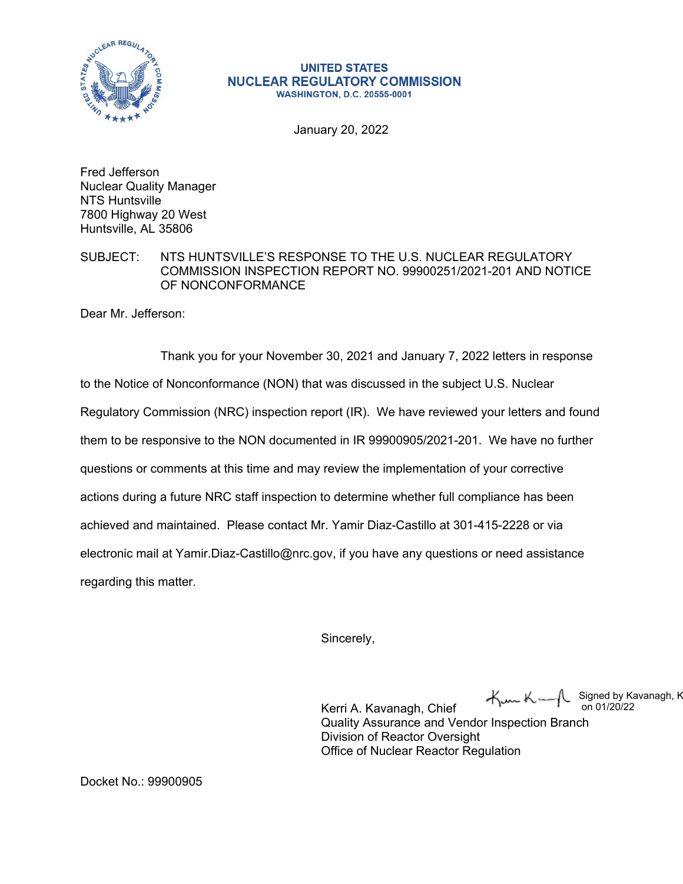

## **UNITED STATES NUCLEAR REGULATORY COMMISSION WASHINGTON, D.C. 20555-0001**

January 20, 2022

Fred Jefferson Nuclear Quality Manager NTS Huntsville 7800 Highway 20 West Huntsville, AL 35806

SUBJECT: NTS HUNTSVILLE'S RESPONSE TO THE U.S. NUCLEAR REGULATORY COMMISSION INSPECTION REPORT NO. 99900251/2021-201 AND NOTICE OF NONCONFORMANCE

Dear Mr. Jefferson:

Thank you for your November 30, 2021 and January 7, 2022 letters in response to the Notice of Nonconformance (NON) that was discussed in the subject U.S. Nuclear Regulatory Commission (NRC) inspection report (IR). We have reviewed your letters and found them to be responsive to the NON documented in IR 99900905/2021-201. We have no further questions or comments at this time and may review the implementation of your corrective actions during a future NRC staff inspection to determine whether full compliance has been achieved and maintained. Please contact Mr. Yamir Diaz-Castillo at 301-415-2228 or via electronic mail at Yamir.Diaz-Castillo@nrc.gov, if you have any questions or need assistance regarding this matter.

Sincerely,

Kun Ku Signed by Kavanagh, K on 01/20/22

Kerri A. Kavanagh, Chief Quality Assurance and Vendor Inspection Branch Division of Reactor Oversight Office of Nuclear Reactor Regulation

Docket No.: 99900905